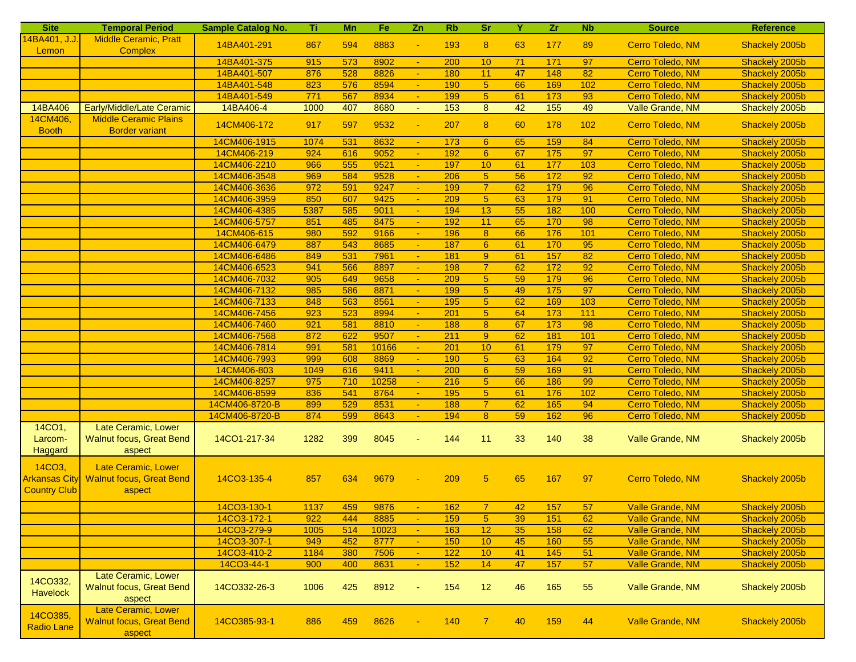| <b>Site</b>                                                        | <b>Temporal Period</b>                                                  | <b>Sample Catalog No.</b> | Ti.  | Mn  | Fe    | Zn                          | <b>Rb</b> | <b>Sr</b>        | Y  | z <sub>r</sub> | <b>Nb</b> | <b>Source</b>           | <b>Reference</b> |
|--------------------------------------------------------------------|-------------------------------------------------------------------------|---------------------------|------|-----|-------|-----------------------------|-----------|------------------|----|----------------|-----------|-------------------------|------------------|
| 14BA401, J.J.<br>Lemon                                             | <b>Middle Ceramic, Pratt</b><br><b>Complex</b>                          | 14BA401-291               | 867  | 594 | 8883  | $\blacksquare$              | 193       | 8                | 63 | 177            | 89        | Cerro Toledo, NM        | Shackely 2005b   |
|                                                                    |                                                                         | 14BA401-375               | 915  | 573 | 8902  | $\blacksquare$              | 200       | 10               | 71 | 171            | 97        | Cerro Toledo, NM        | Shackely 2005b   |
|                                                                    |                                                                         | 14BA401-507               | 876  | 528 | 8826  | ÷.                          | 180       | 11               | 47 | 148            | 82        | Cerro Toledo, NM        | Shackely 2005b   |
|                                                                    |                                                                         | 14BA401-548               | 823  | 576 | 8594  | $\omega$                    | 190       | $\overline{5}$   | 66 | 169            | 102       | Cerro Toledo, NM        | Shackely 2005b   |
|                                                                    |                                                                         | 14BA401-549               | 771  | 567 | 8934  | $\omega$ .                  | 199       | 5 <sup>5</sup>   | 61 | 173            | 93        | Cerro Toledo, NM        | Shackely 2005b   |
| 14BA406                                                            | Early/Middle/Late Ceramic                                               | 14BA406-4                 | 1000 | 407 | 8680  | $\mathcal{L}_{\mathcal{C}}$ | 153       | 8                | 42 | 155            | 49        | Valle Grande, NM        | Shackely 2005b   |
| 14CM406,<br><b>Booth</b>                                           | <b>Middle Ceramic Plains</b><br><b>Border variant</b>                   | 14CM406-172               | 917  | 597 | 9532  | Ξ                           | 207       | 8                | 60 | 178            | 102       | Cerro Toledo, NM        | Shackely 2005b   |
|                                                                    |                                                                         | 14CM406-1915              | 1074 | 531 | 8632  | $\omega_{\rm c}$            | 173       | 6                | 65 | 159            | 84        | Cerro Toledo, NM        | Shackely 2005b   |
|                                                                    |                                                                         | 14CM406-219               | 924  | 616 | 9052  | $\blacksquare$              | 192       | 6                | 67 | 175            | 97        | Cerro Toledo, NM        | Shackely 2005b   |
|                                                                    |                                                                         | 14CM406-2210              | 966  | 555 | 9521  | $\omega$                    | 197       | 10               | 61 | 177            | 103       | Cerro Toledo, NM        | Shackely 2005b   |
|                                                                    |                                                                         | 14CM406-3548              | 969  | 584 | 9528  |                             | 206       | 5 <sub>5</sub>   | 56 | 172            | 92        | Cerro Toledo, NM        | Shackely 2005b   |
|                                                                    |                                                                         | 14CM406-3636              | 972  | 591 | 9247  | ÷.                          | 199       | $\overline{7}$   | 62 | 179            | 96        | Cerro Toledo, NM        | Shackely 2005b   |
|                                                                    |                                                                         | 14CM406-3959              | 850  | 607 | 9425  | $\blacksquare$              | 209       | 5 <sub>5</sub>   | 63 | 179            | 91        | Cerro Toledo, NM        | Shackely 2005b   |
|                                                                    |                                                                         | 14CM406-4385              | 5387 | 585 | 9011  |                             | 194       | 13               | 55 | 182            | 100       | Cerro Toledo, NM        | Shackely 2005b   |
|                                                                    |                                                                         | 14CM406-5757              | 851  | 485 | 8475  |                             | 192       | 11               | 65 | 170            | 98        | Cerro Toledo, NM        | Shackely 2005b   |
|                                                                    |                                                                         | 14CM406-615               | 980  | 592 | 9166  | $\omega$                    | 196       | 8                | 66 | 176            | 101       | Cerro Toledo, NM        | Shackely 2005b   |
|                                                                    |                                                                         | 14CM406-6479              | 887  | 543 | 8685  | $\blacksquare$              | 187       | $6^{\circ}$      | 61 | 170            | 95        | Cerro Toledo, NM        | Shackely 2005b   |
|                                                                    |                                                                         | 14CM406-6486              | 849  | 531 | 7961  |                             | 181       | $\boldsymbol{9}$ | 61 | 157            | 82        | Cerro Toledo, NM        | Shackely 2005b   |
|                                                                    |                                                                         | 14CM406-6523              | 941  | 566 | 8897  |                             | 198       | $\overline{7}$   | 62 | 172            | 92        | Cerro Toledo, NM        | Shackely 2005b   |
|                                                                    |                                                                         | 14CM406-7032              | 905  | 649 | 9658  | $\omega$                    | 209       | $\overline{5}$   | 59 | 179            | 96        | Cerro Toledo, NM        | Shackely 2005b   |
|                                                                    |                                                                         | 14CM406-7132              | 985  | 586 | 8871  | $\sim$                      | 199       | 5 <sup>5</sup>   | 49 | 175            | 97        | Cerro Toledo, NM        | Shackely 2005b   |
|                                                                    |                                                                         | 14CM406-7133              | 848  | 563 | 8561  | $\blacksquare$              | 195       | $\sqrt{5}$       | 62 | 169            | 103       | Cerro Toledo, NM        | Shackely 2005b   |
|                                                                    |                                                                         | 14CM406-7456              | 923  | 523 | 8994  |                             | 201       | 5 <sub>5</sub>   | 64 | 173            | $111$     | Cerro Toledo, NM        | Shackely 2005b   |
|                                                                    |                                                                         | 14CM406-7460              | 921  | 581 | 8810  | $\omega$                    | 188       | $\bf{8}$         | 67 | 173            | 98        | Cerro Toledo, NM        | Shackely 2005b   |
|                                                                    |                                                                         | 14CM406-7568              | 872  | 622 | 9507  | $\blacksquare$              | 211       | 9 <sup>°</sup>   | 62 | 181            | 101       | Cerro Toledo, NM        | Shackely 2005b   |
|                                                                    |                                                                         | 14CM406-7814              | 991  | 581 | 10166 | $\blacksquare$              | 201       | 10               | 61 | 179            | 97        | Cerro Toledo, NM        | Shackely 2005b   |
|                                                                    |                                                                         | 14CM406-7993              | 999  | 608 | 8869  | $\sim$                      | 190       | 5 <sub>5</sub>   | 63 | 164            | 92        | Cerro Toledo, NM        | Shackely 2005b   |
|                                                                    |                                                                         | 14CM406-803               | 1049 | 616 | 9411  | $\omega$                    | 200       | $6\phantom{1}6$  | 59 | 169            | 91        | Cerro Toledo, NM        | Shackely 2005b   |
|                                                                    |                                                                         | 14CM406-8257              | 975  | 710 | 10258 | $\omega$ .                  | 216       | 5 <sup>5</sup>   | 66 | 186            | 99        | Cerro Toledo, NM        | Shackely 2005b   |
|                                                                    |                                                                         | 14CM406-8599              | 836  | 541 | 8764  | $\blacksquare$              | 195       | $\sqrt{5}$       | 61 | 176            | 102       | Cerro Toledo, NM        | Shackely 2005b   |
|                                                                    |                                                                         | 14CM406-8720-B            | 899  | 529 | 8531  | $\blacksquare$              | 188       | $\overline{7}$   | 62 | 165            | 94        | Cerro Toledo, NM        | Shackely 2005b   |
|                                                                    |                                                                         | 14CM406-8720-B            | 874  | 599 | 8643  |                             | 194       | 8                | 59 | 162            | 96        | Cerro Toledo, NM        | Shackely 2005b   |
| 14CO1,<br>Larcom-<br>Haggard                                       | Late Ceramic, Lower<br><b>Walnut focus, Great Bend</b><br>aspect        | 14CO1-217-34              | 1282 | 399 | 8045  |                             | 144       | 11               | 33 | 140            | 38        | Valle Grande, NM        | Shackely 2005b   |
| 14CO <sub>3</sub> ,<br><b>Arkansas City</b><br><b>Country Club</b> | <b>Late Ceramic, Lower</b><br><b>Walnut focus, Great Bend</b><br>aspect | 14CO3-135-4               | 857  | 634 | 9679  |                             | 209       | 5                | 65 | 167            | 97        | Cerro Toledo, NM        | Shackely 2005b   |
|                                                                    |                                                                         | 14CO3-130-1               | 1137 | 459 | 9876  |                             | 162       |                  | 42 | 157            | 57        | Valle Grande, NM        | Shackely 2005b   |
|                                                                    |                                                                         | 14CO3-172-1               | 922  | 444 | 8885  | $\blacksquare$              | 159       | 5 <sub>5</sub>   | 39 | 151            | 62        | Valle Grande, NM        | Shackely 2005b   |
|                                                                    |                                                                         | 14CO3-279-9               | 1005 | 514 | 10023 | $\blacksquare$              | 163       | 12               | 35 | 158            | 62        | <b>Valle Grande, NM</b> | Shackely 2005b   |
|                                                                    |                                                                         | 14CO3-307-1               | 949  | 452 | 8777  | $\sim$                      | 150       | 10               | 45 | 160            | 55        | Valle Grande, NM        | Shackely 2005b   |
|                                                                    |                                                                         | 14CO3-410-2               | 1184 | 380 | 7506  |                             | 122       | 10               | 41 | 145            | 51        | <b>Valle Grande, NM</b> | Shackely 2005b   |
|                                                                    |                                                                         | 14CO3-44-1                | 900  | 400 | 8631  | $\omega$                    | 152       | 14               | 47 | 157            | 57        | Valle Grande, NM        | Shackely 2005b   |
| 14CO332,<br>Havelock                                               | Late Ceramic, Lower<br><b>Walnut focus, Great Bend</b><br>aspect        | 14CO332-26-3              | 1006 | 425 | 8912  |                             | 154       | 12               | 46 | 165            | 55        | Valle Grande, NM        | Shackely 2005b   |
| 14CO385,<br><b>Radio Lane</b>                                      | Late Ceramic, Lower<br><b>Walnut focus, Great Bend</b><br>aspect        | 14CO385-93-1              | 886  | 459 | 8626  |                             | 140       | $\overline{7}$   | 40 | 159            | 44        | Valle Grande, NM        | Shackely 2005b   |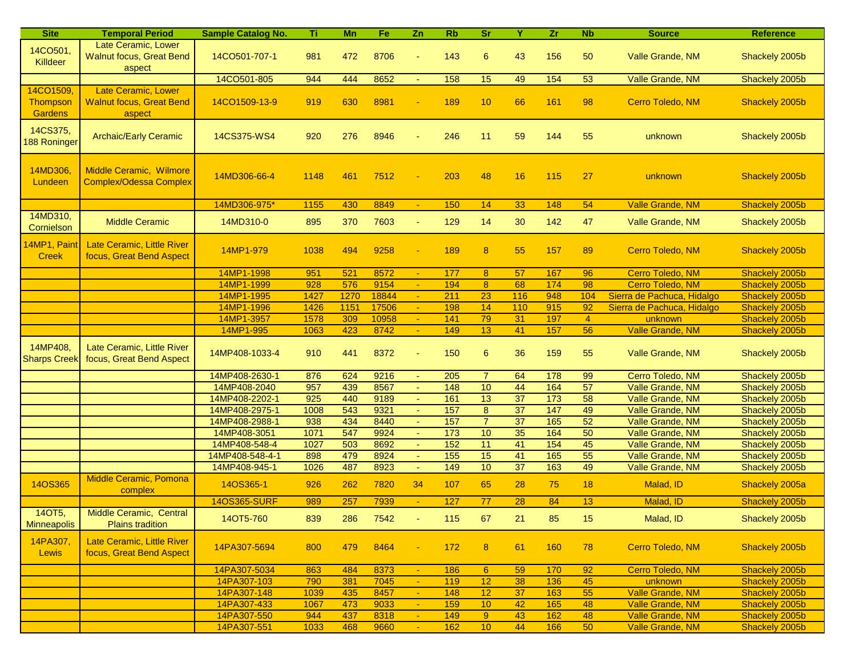| <b>Site</b>         | <b>Temporal Period</b>          | <b>Sample Catalog No.</b> | Τi          | Mn          | Fe            | Zn               | <b>Rb</b>         | <b>Sr</b>            | Y                     | Zr.              | <b>Nb</b>      | <b>Source</b>                                            | <b>Reference</b>                 |
|---------------------|---------------------------------|---------------------------|-------------|-------------|---------------|------------------|-------------------|----------------------|-----------------------|------------------|----------------|----------------------------------------------------------|----------------------------------|
| 14CO501,            | Late Ceramic, Lower             |                           |             |             |               |                  |                   |                      |                       |                  |                |                                                          |                                  |
| Killdeer            | <b>Walnut focus, Great Bend</b> | 14CO501-707-1             | 981         | 472         | 8706          |                  | 143               | 6                    | 43                    | 156              | 50             | Valle Grande, NM                                         | Shackely 2005b                   |
|                     | aspect                          |                           |             |             |               |                  |                   |                      |                       |                  |                |                                                          |                                  |
|                     |                                 | 14CO501-805               | 944         | 444         | 8652          | $\blacksquare$   | 158               | 15                   | 49                    | $\overline{154}$ | 53             | Valle Grande, NM                                         | Shackely 2005b                   |
| 14CO1509,           | Late Ceramic, Lower             |                           |             |             |               |                  |                   |                      |                       |                  |                |                                                          |                                  |
| <b>Thompson</b>     | <b>Walnut focus, Great Bend</b> | 14CO1509-13-9             | 919         | 630         | 8981          |                  | 189               | 10                   | 66                    | 161              | 98             | Cerro Toledo, NM                                         | Shackely 2005b                   |
| <b>Gardens</b>      | aspect                          |                           |             |             |               |                  |                   |                      |                       |                  |                |                                                          |                                  |
| 14CS375,            | <b>Archaic/Early Ceramic</b>    | 14CS375-WS4               | 920         | 276         | 8946          |                  | 246               | 11                   | 59                    | 144              | 55             |                                                          |                                  |
| 188 Roninger        |                                 |                           |             |             |               |                  |                   |                      |                       |                  |                | unknown                                                  | Shackely 2005b                   |
|                     |                                 |                           |             |             |               |                  |                   |                      |                       |                  |                |                                                          |                                  |
| 14MD306,            | Middle Ceramic, Wilmore         |                           |             |             |               |                  |                   |                      |                       |                  |                |                                                          |                                  |
| Lundeen             | <b>Complex/Odessa Complex</b>   | 14MD306-66-4              | 1148        | 461         | 7512          |                  | 203               | 48                   | 16                    | 115              | 27             | unknown                                                  | Shackely 2005b                   |
|                     |                                 |                           |             |             |               |                  |                   |                      |                       |                  |                |                                                          |                                  |
|                     |                                 | 14MD306-975*              | 1155        | 430         | 8849          | $\sim$           | 150               | 14                   | 33                    | 148              | 54             | Valle Grande, NM                                         | Shackely 2005b                   |
| 14MD310,            | <b>Middle Ceramic</b>           | 14MD310-0                 | 895         | 370         | 7603          | $\blacksquare$   | 129               | 14                   | 30                    | 142              | 47             | Valle Grande, NM                                         | Shackely 2005b                   |
| Cornielson          |                                 |                           |             |             |               |                  |                   |                      |                       |                  |                |                                                          |                                  |
| 14MP1, Paint        | Late Ceramic, Little River      |                           |             |             |               |                  |                   |                      |                       |                  |                |                                                          |                                  |
| <b>Creek</b>        | focus, Great Bend Aspect        | 14MP1-979                 | 1038        | 494         | 9258          |                  | 189               | 8                    | 55                    | 157              | 89             | Cerro Toledo, NM                                         | Shackely 2005b                   |
|                     |                                 |                           |             |             |               |                  |                   |                      |                       |                  |                |                                                          |                                  |
|                     |                                 | 14MP1-1998                | 951         | 521         | 8572          |                  | 177               | 8 <sup>°</sup>       | 57                    | 167              | 96             | Cerro Toledo, NM                                         | Shackely 2005b                   |
|                     |                                 | 14MP1-1999<br>14MP1-1995  | 928<br>1427 | 576<br>1270 | 9154<br>18844 | $\blacksquare$   | 194<br>211        | 8 <sup>°</sup><br>23 | 68<br>116             | 174<br>948       | 98<br>104      | Cerro Toledo, NM                                         | Shackely 2005b                   |
|                     |                                 | 14MP1-1996                | 1426        | 1151        | 17506         | $\blacksquare$   | 198               | 14                   | 110                   | 915              | 92             | Sierra de Pachuca, Hidalgo<br>Sierra de Pachuca, Hidalgo | Shackely 2005b<br>Shackely 2005b |
|                     |                                 | 14MP1-3957                | 1578        | 309         | 10958         | $\blacksquare$   | 141               | 79                   | 31                    | 197              | $\overline{4}$ | unknown                                                  | Shackely 2005b                   |
|                     |                                 | 14MP1-995                 | 1063        | 423         | 8742          | $\omega$         | 149               | 13                   | 41                    | 157              | 56             | <b>Valle Grande, NM</b>                                  | Shackely 2005b                   |
|                     |                                 |                           |             |             |               |                  |                   |                      |                       |                  |                |                                                          |                                  |
| 14MP408,            | Late Ceramic, Little River      | 14MP408-1033-4            | 910         | 441         | 8372          |                  | 150               | 6                    | 36                    | 159              | 55             | Valle Grande, NM                                         | Shackely 2005b                   |
| <b>Sharps Creek</b> | focus, Great Bend Aspect        |                           |             |             |               |                  |                   |                      |                       |                  |                |                                                          |                                  |
|                     |                                 | 14MP408-2630-1            | 876         | 624         | 9216          |                  | 205               | $\overline{7}$       | 64                    | $\frac{1}{178}$  | 99             | Cerro Toledo, NM                                         | Shackely 2005b                   |
|                     |                                 | 14MP408-2040              | 957         | 439         | 8567          | $\omega$         | $\frac{148}{ }$   | 10                   | 44                    | 164              | 57             | Valle Grande, NM                                         | Shackely 2005b                   |
|                     |                                 | 14MP408-2202-1            | 925         | 440         | 9189          | $\blacksquare$   | 161               | 13                   | $\overline{37}$       | 173              | 58             | Valle Grande, NM                                         | Shackely 2005b                   |
|                     |                                 | 14MP408-2975-1            | 1008        | 543         | 9321          |                  | $\frac{157}{157}$ | $\bf 8$              | $\overline{37}$       | 147              | 49             | Valle Grande, NM                                         | Shackely 2005b                   |
|                     |                                 | 14MP408-2988-1            | 938         | 434         | 8440          |                  | 157               | $\overline{7}$       | 37                    | 165              | 52             | Valle Grande, NM                                         | Shackely 2005b                   |
|                     |                                 | 14MP408-3051              | 1071        | 547         | 9924          | $\omega_{\rm c}$ | 173               | 10                   | 35                    | 164              | 50             | Valle Grande, NM                                         | Shackely 2005b                   |
|                     |                                 | 14MP408-548-4             | 1027        | 503         | 8692          | $\blacksquare$   | $\overline{152}$  | 11                   | 41                    | 154              | 45             | Valle Grande, NM                                         | Shackely 2005b                   |
|                     |                                 | 14MP408-548-4-1           | 898         | 479         | 8924          |                  | $\overline{155}$  | 15<br>10             | 41<br>$\overline{37}$ | 165<br>163       | 55<br>49       | Valle Grande, NM                                         | Shackely 2005b                   |
|                     | Middle Ceramic, Pomona          | 14MP408-945-1             | 1026        | 487         | 8923          | $\blacksquare$   | 149               |                      |                       |                  |                | Valle Grande, NM                                         | Shackely 2005b                   |
| <b>14OS365</b>      | complex                         | 14OS365-1                 | 926         | 262         | 7820          | 34               | 107               | 65                   | 28                    | 75               | 18             | Malad, ID                                                | Shackely 2005a                   |
|                     |                                 | 140S365-SURF              | 989         | 257         | 7939          |                  | 127               | 77                   | 28                    | 84               | 13             | Malad, ID                                                | Shackely 2005b                   |
| 140T5,              | Middle Ceramic, Central         |                           |             |             |               |                  |                   |                      |                       |                  |                |                                                          |                                  |
| <b>Minneapolis</b>  | <b>Plains tradition</b>         | 14OT5-760                 | 839         | 286         | 7542          |                  | 115               | 67                   | 21                    | 85               | 15             | Malad, ID                                                | Shackely 2005b                   |
|                     |                                 |                           |             |             |               |                  |                   |                      |                       |                  |                |                                                          |                                  |
| 14PA307,            | Late Ceramic, Little River      | 14PA307-5694              | 800         | 479         | 8464          |                  | 172               | 8 <sup>°</sup>       | 61                    | 160              | 78             | Cerro Toledo, NM                                         | Shackely 2005b                   |
| Lewis               | focus, Great Bend Aspect        |                           |             |             |               |                  |                   |                      |                       |                  |                |                                                          |                                  |
|                     |                                 | 14PA307-5034              | 863         | 484         | 8373          | $\sim$           | 186               | $6^{\circ}$          | 59                    | 170              | 92             | Cerro Toledo, NM                                         | Shackely 2005b                   |
|                     |                                 | 14PA307-103               | 790         | 381         | 7045          | $\blacksquare$   | 119               | 12                   | 38                    | 136              | 45             | unknown                                                  | Shackely 2005b                   |
|                     |                                 | 14PA307-148               | 1039        | 435         | 8457          | $\sim$           | 148               | 12                   | 37                    | 163              | 55             | Valle Grande, NM                                         | Shackely 2005b                   |
|                     |                                 | 14PA307-433               | 1067        | 473         | 9033          |                  | 159               | 10                   | 42                    | 165              | 48             | Valle Grande, NM                                         | Shackely 2005b                   |
|                     |                                 | 14PA307-550               | 944         | 437         | 8318          |                  | 149               | $9^{\circ}$          | 43                    | 162              | 48             | Valle Grande, NM                                         | Shackely 2005b                   |
|                     |                                 | 14PA307-551               | 1033        | 468         | 9660          |                  | 162               | 10                   | 44                    | 166              | 50             | Valle Grande, NM                                         | Shackely 2005b                   |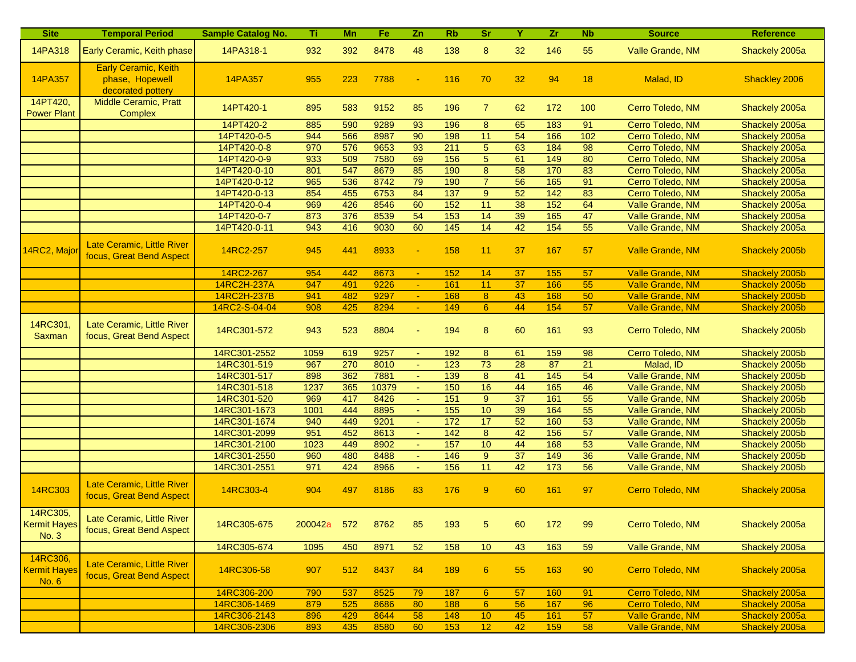| <b>Site</b>                                     | <b>Temporal Period</b>                                              | <b>Sample Catalog No.</b> | Τï          | Mn  | Fe.   | Zn             | <b>Rb</b>        | sr               | Y               | Zr              | <b>N<sub>b</sub></b> | <b>Source</b>           | Reference      |
|-------------------------------------------------|---------------------------------------------------------------------|---------------------------|-------------|-----|-------|----------------|------------------|------------------|-----------------|-----------------|----------------------|-------------------------|----------------|
| 14PA318                                         | Early Ceramic, Keith phase                                          | 14PA318-1                 | 932         | 392 | 8478  | 48             | 138              | 8                | 32              | 146             | 55                   | Valle Grande, NM        | Shackely 2005a |
| 14PA357                                         | <b>Early Ceramic, Keith</b><br>phase, Hopewell<br>decorated pottery | 14PA357                   | 955         | 223 | 7788  |                | 116              | 70               | 32              | 94              | 18                   | Malad, ID               | Shackley 2006  |
| 14PT420,<br><b>Power Plant</b>                  | Middle Ceramic, Pratt<br>Complex                                    | 14PT420-1                 | 895         | 583 | 9152  | 85             | 196              | $\overline{7}$   | 62              | 172             | 100                  | Cerro Toledo, NM        | Shackely 2005a |
|                                                 |                                                                     | 14PT420-2                 | 885         | 590 | 9289  | 93             | 196              | 8                | 65              | 183             | 91                   | Cerro Toledo, NM        | Shackely 2005a |
|                                                 |                                                                     | 14PT420-0-5               | 944         | 566 | 8987  | 90             | 198              | 11               | 54              | 166             | 102                  | Cerro Toledo, NM        | Shackely 2005a |
|                                                 |                                                                     | 14PT420-0-8               | 970         | 576 | 9653  | 93             | 211              | 5 <sub>5</sub>   | 63              | 184             | $\overline{98}$      | Cerro Toledo, NM        | Shackely 2005a |
|                                                 |                                                                     | 14PT420-0-9               | 933         | 509 | 7580  | 69             | 156              | $\overline{5}$   | 61              | 149             | 80                   | Cerro Toledo, NM        | Shackely 2005a |
|                                                 |                                                                     | 14PT420-0-10              | 801         | 547 | 8679  | 85             | 190              | $\overline{8}$   | 58              | 170             | 83                   | Cerro Toledo, NM        | Shackely 2005a |
|                                                 |                                                                     | 14PT420-0-12              | 965         | 536 | 8742  | 79             | 190              | $\overline{7}$   | 56              | 165             | 91                   | Cerro Toledo, NM        | Shackely 2005a |
|                                                 |                                                                     | 14PT420-0-13              | 854         | 455 | 6753  | 84             | $\overline{137}$ | $\overline{9}$   | 52              | $\frac{1}{142}$ | 83                   | Cerro Toledo, NM        | Shackely 2005a |
|                                                 |                                                                     | 14PT420-0-4               | 969         | 426 | 8546  | 60             | 152              | 11               | 38              | 152             | 64                   | Valle Grande, NM        | Shackely 2005a |
|                                                 |                                                                     | 14PT420-0-7               | 873         | 376 | 8539  | 54             | 153              | 14               | 39              | 165             | 47                   | Valle Grande, NM        | Shackely 2005a |
|                                                 |                                                                     | 14PT420-0-11              | 943         | 416 | 9030  | 60             | 145              | 14               | 42              | 154             | 55                   | Valle Grande, NM        | Shackely 2005a |
| 14RC2, Major                                    | Late Ceramic, Little River<br>focus, Great Bend Aspect              | 14RC2-257                 | 945         | 441 | 8933  |                | 158              | 11               | 37              | 167             | 57                   | <b>Valle Grande, NM</b> | Shackely 2005b |
|                                                 |                                                                     | 14RC2-267                 | 954         | 442 | 8673  |                | 152              | 14               | 37              | 155             | 57                   | <b>Valle Grande, NM</b> | Shackely 2005b |
|                                                 |                                                                     | 14RC2H-237A               | 947         | 491 | 9226  | $\omega$       | 161              | 11               | 37              | 166             | 55                   | Valle Grande, NM        | Shackely 2005b |
|                                                 |                                                                     | 14RC2H-237B               | 941         | 482 | 9297  | $\blacksquare$ | 168              | 8 <sup>°</sup>   | 43              | 168             | 50                   | <b>Valle Grande, NM</b> | Shackely 2005b |
|                                                 |                                                                     | 14RC2-S-04-04             | 908         | 425 | 8294  |                | 149              | $6^{\circ}$      | 44              | 154             | 57                   | Valle Grande, NM        | Shackely 2005b |
| 14RC301,<br>Saxman                              | Late Ceramic, Little River<br>focus, Great Bend Aspect              | 14RC301-572               | 943         | 523 | 8804  |                | 194              | 8                | 60              | 161             | 93                   | Cerro Toledo, NM        | Shackely 2005b |
|                                                 |                                                                     | 14RC301-2552              | 1059        | 619 | 9257  |                | 192              | 8                | 61              | 159             | $\overline{98}$      | Cerro Toledo, NM        | Shackely 2005b |
|                                                 |                                                                     | 14RC301-519               | 967         | 270 | 8010  |                | 123              | 73               | 28              | 87              | $\overline{21}$      | Malad, ID               | Shackely 2005b |
|                                                 |                                                                     | 14RC301-517               | 898         | 362 | 7881  | $\omega$       | 139              | 8                | 41              | 145             | 54                   | Valle Grande, NM        | Shackely 2005b |
|                                                 |                                                                     | 14RC301-518               | 1237        | 365 | 10379 | $\sim$         | 150              | 16               | 44              | 165             | 46                   | Valle Grande, NM        | Shackely 2005b |
|                                                 |                                                                     | 14RC301-520               | 969         | 417 | 8426  | $\sim$         | 151              | 9                | $\overline{37}$ | 161             | 55                   | Valle Grande, NM        | Shackely 2005b |
|                                                 |                                                                     | 14RC301-1673              | 1001        | 444 | 8895  |                | 155              | 10               | 39              | 164             | 55                   | Valle Grande, NM        | Shackely 2005b |
|                                                 |                                                                     | 14RC301-1674              | 940         | 449 | 9201  |                | 172              | $\overline{17}$  | 52              | 160             | 53                   | Valle Grande, NM        | Shackely 2005b |
|                                                 |                                                                     | 14RC301-2099              | 951         | 452 | 8613  | $\omega$       | 142              | 8                | 42              | 156             | 57                   | Valle Grande, NM        | Shackely 2005b |
|                                                 |                                                                     | 14RC301-2100              | 1023        | 449 | 8902  |                | 157              | 10               | 44              | 168             | 53                   | Valle Grande, NM        | Shackely 2005b |
|                                                 |                                                                     | 14RC301-2550              | 960         | 480 | 8488  |                | $\frac{146}{ }$  | 9                | 37              | 149             | 36                   | Valle Grande, NM        | Shackely 2005b |
|                                                 |                                                                     | 14RC301-2551              | 971         | 424 | 8966  | $\omega$       | 156              | 11               | 42              | $\frac{1}{173}$ | 56                   | Valle Grande, NM        | Shackely 2005b |
| 14RC303                                         | Late Ceramic, Little River<br>focus, Great Bend Aspect              | 14RC303-4                 | 904         | 497 | 8186  | 83             | 176              | $\boldsymbol{9}$ | 60              | 161             | 97                   | Cerro Toledo, NM        | Shackely 2005a |
| 14RC305,<br><b>Kermit Hayes</b><br><b>No. 3</b> | Late Ceramic, Little River<br>focus, Great Bend Aspect              | 14RC305-675               | 200042a 572 |     | 8762  | 85             | 193              | 5                | 60              | 172             | 99                   | Cerro Toledo, NM        | Shackely 2005a |
|                                                 |                                                                     | 14RC305-674               | 1095        | 450 | 8971  | 52             | 158              | 10               | 43              | 163             | 59                   | Valle Grande, NM        | Shackely 2005a |
| 14RC306,<br>Kermit Hayes<br>No. 6               | Late Ceramic, Little River<br>focus, Great Bend Aspect              | 14RC306-58                | 907         | 512 | 8437  | 84             | 189              | $\boldsymbol{6}$ | 55              | 163             | 90                   | Cerro Toledo, NM        | Shackely 2005a |
|                                                 |                                                                     | 14RC306-200               | 790         | 537 | 8525  | 79             | 187              | $6^{\circ}$      | 57              | 160             | 91                   | Cerro Toledo, NM        | Shackely 2005a |
|                                                 |                                                                     | 14RC306-1469              | 879         | 525 | 8686  | 80             | 188              | $6^{\circ}$      | 56              | 167             | 96                   | Cerro Toledo, NM        | Shackely 2005a |
|                                                 |                                                                     | 14RC306-2143              | 896         | 429 | 8644  | 58             | 148              | 10               | 45              | 161             | 57                   | Valle Grande, NM        | Shackely 2005a |
|                                                 |                                                                     | 14RC306-2306              | 893         | 435 | 8580  | 60             | 153              | 12               | 42              | 159             | 58                   | <b>Valle Grande, NM</b> | Shackely 2005a |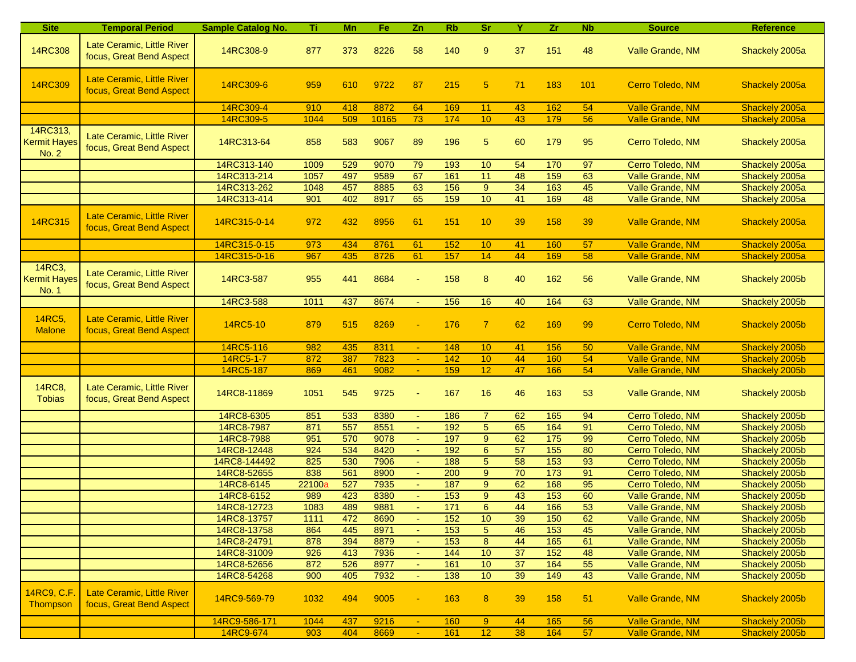| <b>Site</b>                              | <b>Temporal Period</b>                                 | <b>Sample Catalog No.</b> | Ti.    | Mn  | Fe    | Zn             | <b>Rb</b> | <b>Sr</b>       | Y               | Zr               | <b>Nb</b> | <b>Source</b>           | <b>Reference</b> |
|------------------------------------------|--------------------------------------------------------|---------------------------|--------|-----|-------|----------------|-----------|-----------------|-----------------|------------------|-----------|-------------------------|------------------|
| <b>14RC308</b>                           | Late Ceramic, Little River<br>focus, Great Bend Aspect | 14RC308-9                 | 877    | 373 | 8226  | 58             | 140       | 9               | 37              | 151              | 48        | Valle Grande, NM        | Shackely 2005a   |
| 14RC309                                  | Late Ceramic, Little River<br>focus, Great Bend Aspect | 14RC309-6                 | 959    | 610 | 9722  | 87             | 215       | $5\phantom{.0}$ | 71              | 183              | 101       | Cerro Toledo, NM        | Shackely 2005a   |
|                                          |                                                        | 14RC309-4                 | 910    | 418 | 8872  | 64             | 169       | 11              | 43              | 162              | 54        | <b>Valle Grande, NM</b> | Shackely 2005a   |
|                                          |                                                        | 14RC309-5                 | 1044   | 509 | 10165 | 73             | 174       | 10              | 43              | 179              | 56        | Valle Grande, NM        | Shackely 2005a   |
| 14RC313,<br><b>Kermit Hayes</b><br>No. 2 | Late Ceramic, Little River<br>focus, Great Bend Aspect | 14RC313-64                | 858    | 583 | 9067  | 89             | 196       | 5               | 60              | 179              | 95        | Cerro Toledo, NM        | Shackely 2005a   |
|                                          |                                                        | 14RC313-140               | 1009   | 529 | 9070  | 79             | 193       | 10              | 54              | 170              | 97        | Cerro Toledo, NM        | Shackely 2005a   |
|                                          |                                                        | 14RC313-214               | 1057   | 497 | 9589  | 67             | 161       | 11              | 48              | 159              | 63        | Valle Grande, NM        | Shackely 2005a   |
|                                          |                                                        | 14RC313-262               | 1048   | 457 | 8885  | 63             | 156       | 9               | 34              | 163              | 45        | Valle Grande, NM        | Shackely 2005a   |
|                                          |                                                        | 14RC313-414               | 901    | 402 | 8917  | 65             | 159       | 10              | 41              | 169              | 48        | Valle Grande, NM        | Shackely 2005a   |
| <b>14RC315</b>                           | Late Ceramic, Little River<br>focus, Great Bend Aspect | 14RC315-0-14              | 972    | 432 | 8956  | 61             | 151       | 10              | 39              | 158              | 39        | Valle Grande, NM        | Shackely 2005a   |
|                                          |                                                        | 14RC315-0-15              | 973    | 434 | 8761  | 61             | 152       | 10              | 41              | 160              | 57        | <b>Valle Grande, NM</b> | Shackely 2005a   |
|                                          |                                                        | 14RC315-0-16              | 967    | 435 | 8726  | 61             | 157       | 14              | 44              | 169              | 58        | <b>Valle Grande, NM</b> | Shackely 2005a   |
| 14RC3,<br><b>Kermit Hayes</b><br>No. 1   | Late Ceramic, Little River<br>focus, Great Bend Aspect | 14RC3-587                 | 955    | 441 | 8684  | $\blacksquare$ | 158       | 8               | 40              | 162              | 56        | Valle Grande, NM        | Shackely 2005b   |
|                                          |                                                        | 14RC3-588                 | 1011   | 437 | 8674  | $\blacksquare$ | 156       | 16              | 40              | 164              | 63        | Valle Grande, NM        | Shackely 2005b   |
| 14RC5,<br><b>Malone</b>                  | Late Ceramic, Little River<br>focus, Great Bend Aspect | 14RC5-10                  | 879    | 515 | 8269  |                | 176       | $\overline{7}$  | 62              | 169              | 99        | Cerro Toledo, NM        | Shackely 2005b   |
|                                          |                                                        | 14RC5-116                 | 982    | 435 | 8311  | $\blacksquare$ | 148       | 10              | 41              | 156              | 50        | Valle Grande, NM        | Shackely 2005b   |
|                                          |                                                        | 14RC5-1-7                 | 872    | 387 | 7823  | $\blacksquare$ | 142       | 10              | 44              | 160              | 54        | Valle Grande, NM        | Shackely 2005b   |
|                                          |                                                        | 14RC5-187                 | 869    | 461 | 9082  | ÷.             | 159       | 12              | 47              | 166              | 54        | Valle Grande, NM        | Shackely 2005b   |
| 14RC8,<br><b>Tobias</b>                  | Late Ceramic, Little River<br>focus, Great Bend Aspect | 14RC8-11869               | 1051   | 545 | 9725  |                | 167       | 16              | 46              | 163              | 53        | Valle Grande, NM        | Shackely 2005b   |
|                                          |                                                        | 14RC8-6305                | 851    | 533 | 8380  |                | 186       | $\overline{7}$  | 62              | 165              | 94        | Cerro Toledo, NM        | Shackely 2005b   |
|                                          |                                                        | 14RC8-7987                | 871    | 557 | 8551  | $\blacksquare$ | 192       | 5               | 65              | 164              | 91        | Cerro Toledo, NM        | Shackely 2005b   |
|                                          |                                                        | 14RC8-7988                | 951    | 570 | 9078  |                | 197       | $\overline{9}$  | 62              | $\frac{175}{2}$  | 99        | Cerro Toledo, NM        | Shackely 2005b   |
|                                          |                                                        | 14RC8-12448               | 924    | 534 | 8420  |                | 192       | $6\phantom{1}$  | 57              | 155              | 80        | Cerro Toledo, NM        | Shackely 2005b   |
|                                          |                                                        | 14RC8-144492              | 825    | 530 | 7906  | L.             | 188       | $\overline{5}$  | $\overline{58}$ | $\overline{153}$ | 93        | Cerro Toledo, NM        | Shackely 2005b   |
|                                          |                                                        | 14RC8-52655               | 838    | 561 | 8900  | $\blacksquare$ | 200       | 9               | 70              | 173              | 91        | Cerro Toledo, NM        | Shackely 2005b   |
|                                          |                                                        | 14RC8-6145                | 22100a | 527 | 7935  |                | 187       | 9               | 62              | 168              | 95        | Cerro Toledo, NM        | Shackely 2005b   |
|                                          |                                                        | 14RC8-6152                | 989    | 423 | 8380  |                | 153       | 9               | 43              | 153              | 60        | Valle Grande, NM        | Shackely 2005b   |
|                                          |                                                        | 14RC8-12723               | 1083   | 489 | 9881  |                | $171$     | $\,6\,$         | 44              | 166              | 53        | Valle Grande, NM        | Shackely 2005b   |
|                                          |                                                        | 14RC8-13757               | 1111   | 472 | 8690  | $\blacksquare$ | 152       | 10              | 39              | 150              | 62        | Valle Grande, NM        | Shackely 2005b   |
|                                          |                                                        | 14RC8-13758               | 864    | 445 | 8971  | $\blacksquare$ | 153       | $\sqrt{5}$      | 46              | 153              | 45        | Valle Grande, NM        | Shackely 2005b   |
|                                          |                                                        | 14RC8-24791               | 878    | 394 | 8879  |                | 153       | 8               | 44              | 165              | 61        | Valle Grande, NM        | Shackely 2005b   |
|                                          |                                                        | 14RC8-31009               | 926    | 413 | 7936  |                | 144       | 10              | 37              | 152              | 48        | Valle Grande, NM        | Shackely 2005b   |
|                                          |                                                        | 14RC8-52656               | 872    | 526 | 8977  | $\omega$       | 161       | 10              | 37              | 164              | 55        | Valle Grande, NM        | Shackely 2005b   |
|                                          |                                                        | 14RC8-54268               | 900    | 405 | 7932  | $\sim$         | 138       | 10              | 39              | 149              | 43        | Valle Grande, NM        | Shackely 2005b   |
| 14RC9, C.F.<br>Thompson                  | Late Ceramic, Little River<br>focus, Great Bend Aspect | 14RC9-569-79              | 1032   | 494 | 9005  |                | 163       | $8\phantom{1}$  | 39              | 158              | 51        | Valle Grande, NM        | Shackely 2005b   |
|                                          |                                                        | 14RC9-586-171             | 1044   | 437 | 9216  | $\sim$         | 160       | 9               | 44              | 165              | 56        | Valle Grande, NM        | Shackely 2005b   |
|                                          |                                                        | 14RC9-674                 | 903    | 404 | 8669  | $\sim$         | 161       | 12              | 38              | 164              | 57        | Valle Grande, NM        | Shackely 2005b   |